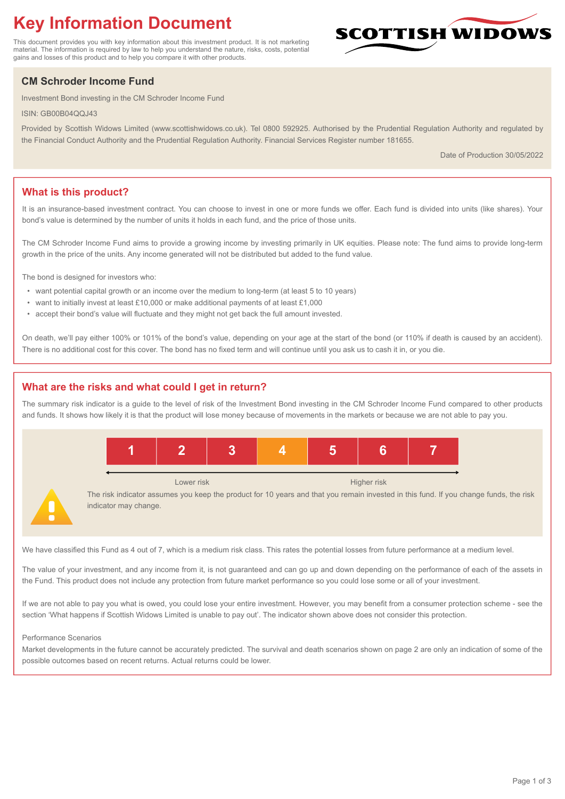# **Key Information Document**

This document provides you with key information about this investment product. It is not marketing material. The information is required by law to help you understand the nature, risks, costs, potential gains and losses of this product and to help you compare it with other products.

# **CM Schroder Income Fund**

Investment Bond investing in the CM Schroder Income Fund

ISIN: GB00B04QQJ43

Provided by Scottish Widows Limited (www.scottishwidows.co.uk). Tel 0800 592925. Authorised by the Prudential Regulation Authority and regulated by the Financial Conduct Authority and the Prudential Regulation Authority. Financial Services Register number 181655.

Date of Production 30/05/2022

**SCOTTISH WIDOW** 

# **What is this product?**

It is an insurance-based investment contract. You can choose to invest in one or more funds we offer. Each fund is divided into units (like shares). Your bond's value is determined by the number of units it holds in each fund, and the price of those units.

The CM Schroder Income Fund aims to provide a growing income by investing primarily in UK equities. Please note: The fund aims to provide long-term growth in the price of the units. Any income generated will not be distributed but added to the fund value.

The bond is designed for investors who:

- want potential capital growth or an income over the medium to long-term (at least 5 to 10 years)
- want to initially invest at least £10,000 or make additional payments of at least £1,000
- accept their bond's value will fluctuate and they might not get back the full amount invested.

On death, we'll pay either 100% or 101% of the bond's value, depending on your age at the start of the bond (or 110% if death is caused by an accident). There is no additional cost for this cover. The bond has no fixed term and will continue until you ask us to cash it in, or you die.

# **What are the risks and what could I get in return?**

The summary risk indicator is a guide to the level of risk of the Investment Bond investing in the CM Schroder Income Fund compared to other products and funds. It shows how likely it is that the product will lose money because of movements in the markets or because we are not able to pay you.



We have classified this Fund as 4 out of 7, which is a medium risk class. This rates the potential losses from future performance at a medium level.

The value of your investment, and any income from it, is not guaranteed and can go up and down depending on the performance of each of the assets in the Fund. This product does not include any protection from future market performance so you could lose some or all of your investment.

If we are not able to pay you what is owed, you could lose your entire investment. However, you may benefit from a consumer protection scheme - see the section 'What happens if Scottish Widows Limited is unable to pay out'. The indicator shown above does not consider this protection.

#### Performance Scenarios

Market developments in the future cannot be accurately predicted. The survival and death scenarios shown on page 2 are only an indication of some of the possible outcomes based on recent returns. Actual returns could be lower.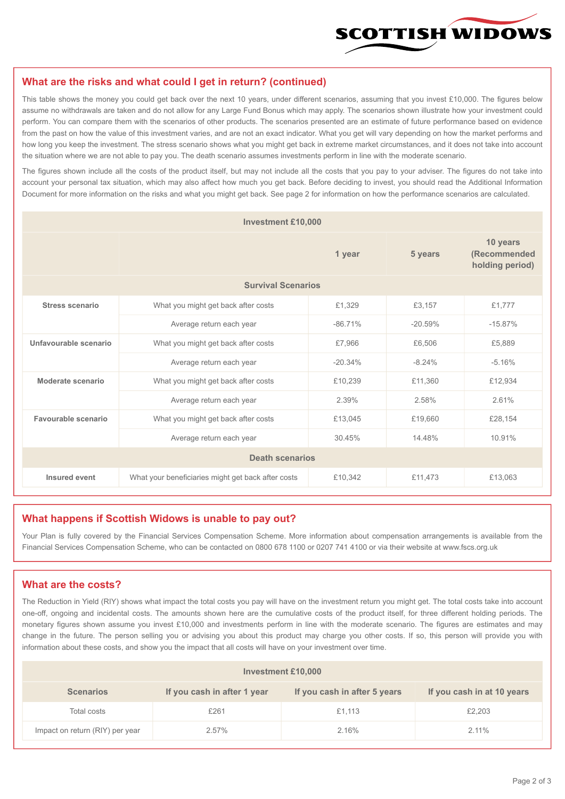

### **What are the risks and what could I get in return? (continued)**

This table shows the money you could get back over the next 10 years, under different scenarios, assuming that you invest £10,000. The figures below assume no withdrawals are taken and do not allow for any Large Fund Bonus which may apply. The scenarios shown illustrate how your investment could perform. You can compare them with the scenarios of other products. The scenarios presented are an estimate of future performance based on evidence from the past on how the value of this investment varies, and are not an exact indicator. What you get will vary depending on how the market performs and how long you keep the investment. The stress scenario shows what you might get back in extreme market circumstances, and it does not take into account the situation where we are not able to pay you. The death scenario assumes investments perform in line with the moderate scenario.

The figures shown include all the costs of the product itself, but may not include all the costs that you pay to your adviser. The figures do not take into account your personal tax situation, which may also affect how much you get back. Before deciding to invest, you should read the Additional Information Document for more information on the risks and what you might get back. See page 2 for information on how the performance scenarios are calculated.

| <b>Investment £10,000</b> |                                                    |           |                                             |           |  |  |
|---------------------------|----------------------------------------------------|-----------|---------------------------------------------|-----------|--|--|
|                           |                                                    | 5 years   | 10 years<br>(Recommended<br>holding period) |           |  |  |
| <b>Survival Scenarios</b> |                                                    |           |                                             |           |  |  |
| <b>Stress scenario</b>    | £1,329<br>What you might get back after costs      |           | £3,157                                      | £1,777    |  |  |
|                           | $-86.71%$<br>Average return each year              |           | $-20.59%$                                   | $-15.87%$ |  |  |
| Unfavourable scenario     | What you might get back after costs<br>£7,966      |           | £6,506                                      | £5,889    |  |  |
|                           | Average return each year                           | $-20.34%$ | $-8.24%$                                    | $-5.16%$  |  |  |
| Moderate scenario         | What you might get back after costs                | £10,239   | £11,360                                     | £12,934   |  |  |
|                           | Average return each year                           | 2.39%     | 2.58%                                       | 2.61%     |  |  |
| Favourable scenario       | What you might get back after costs                | £13,045   | £19,660                                     | £28,154   |  |  |
|                           | 30.45%<br>Average return each year                 |           | 14.48%                                      | 10.91%    |  |  |
| <b>Death scenarios</b>    |                                                    |           |                                             |           |  |  |
| Insured event             | What your beneficiaries might get back after costs | £10,342   | £11,473                                     | £13,063   |  |  |

#### **What happens if Scottish Widows is unable to pay out?**

Your Plan is fully covered by the Financial Services Compensation Scheme. More information about compensation arrangements is available from the Financial Services Compensation Scheme, who can be contacted on 0800 678 1100 or 0207 741 4100 or via their website at www.fscs.org.uk

## **What are the costs?**

The Reduction in Yield (RIY) shows what impact the total costs you pay will have on the investment return you might get. The total costs take into account one-off, ongoing and incidental costs. The amounts shown here are the cumulative costs of the product itself, for three different holding periods. The monetary figures shown assume you invest £10,000 and investments perform in line with the moderate scenario. The figures are estimates and may change in the future. The person selling you or advising you about this product may charge you other costs. If so, this person will provide you with information about these costs, and show you the impact that all costs will have on your investment over time.

| <b>Investment £10,000</b>       |                             |                              |                            |  |  |  |
|---------------------------------|-----------------------------|------------------------------|----------------------------|--|--|--|
| <b>Scenarios</b>                | If you cash in after 1 year | If you cash in after 5 years | If you cash in at 10 years |  |  |  |
| Total costs                     | £261                        | £1,113                       | £2,203                     |  |  |  |
| Impact on return (RIY) per year | 2.57%                       | 2.16%                        | 2.11%                      |  |  |  |